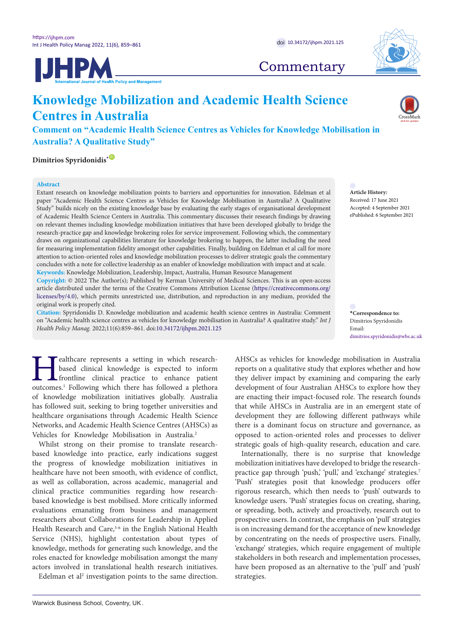**UHPM** 



**Commentary** 

# **Knowledge Mobilization and Academic Health Science Centres in Australia**

**Comment on "Academic Health Science Centres as Vehicles for Knowledge Mobilisation in Australia? A Qualitative Study"**

**Dimitrios Spyridonidis[\\*](#page-0-0)** [ID](https://orcid.org/0000-0001-6963-5985)

### **Abstract**

Extant research on knowledge mobilization points to barriers and opportunities for innovation. Edelman et al paper "Academic Health Science Centres as Vehicles for Knowledge Mobilisation in Australia? A Qualitative Study" builds nicely on the existing knowledge base by evaluating the early stages of organisational development of Academic Health Science Centers in Australia. This commentary discusses their research findings by drawing on relevant themes including knowledge mobilization initiatives that have been developed globally to bridge the research-practice gap and knowledge brokering roles for service improvement. Following which, the commentary draws on organizational capabilities literature for knowledge brokering to happen, the latter including the need for measuring implementation fidelity amongst other capabilities. Finally, building on Edelman et al call for more attention to action-oriented roles and knowledge mobilization processes to deliver strategic goals the commentary concludes with a note for collective leadership as an enabler of knowledge mobilization with impact and at scale. **Keywords:** Knowledge Mobilization, Leadership, Impact, Australia, Human Resource Management

**Copyright:** © 2022 The Author(s); Published by Kerman University of Medical Sciences. This is an open-access article distributed under the terms of the Creative Commons Attribution License [\(https://creativecommons.org/](https://creativecommons.org/licenses/by/4.0/) [licenses/by/4.0](https://creativecommons.org/licenses/by/4.0/)), which permits unrestricted use, distribution, and reproduction in any medium, provided the original work is properly cited.

**Citation:** Spyridonidis D. Knowledge mobilization and academic health science centres in Australia: Comment on "Academic health science centres as vehicles for knowledge mobilisation in Australia? A qualitative study." *Int J Health Policy Manag.* 2022;11(6):859–861. doi[:10.34172/ijhpm.2021.125](https://doi.org/10.34172/ijhpm.2021.125)

**Healthcare represents a setting in which research-**<br>based clinical knowledge is expected to inform<br>frontline clinical practice to enhance patient<br>outcomes.<sup>1</sup> Following which there has followed a plethora based clinical knowledge is expected to inform frontline clinical practice to enhance patient of knowledge mobilization initiatives globally. Australia has followed suit, seeking to bring together universities and healthcare organisations through Academic Health Science Networks, and Academic Health Science Centres (AHSCs) as Vehicles for Knowledge Mobilisation in Australia.<sup>2</sup>

Whilst strong on their promise to translate researchbased knowledge into practice, early indications suggest the progress of knowledge mobilization initiatives in healthcare have not been smooth, with evidence of conflict, as well as collaboration, across academic, managerial and clinical practice communities regarding how researchbased knowledge is best mobilised. More critically informed evaluations emanating from business and management researchers about Collaborations for Leadership in Applied Health Research and Care,<sup>3-6</sup> in the English National Health Service (NHS), highlight contestation about types of knowledge, methods for generating such knowledge, and the roles enacted for knowledge mobilisation amongst the many actors involved in translational health research initiatives.

Edelman et al<sup>2</sup> investigation points to the same direction.

dimitrios.spyridonidis@wbs.ac.uk AHSCs as vehicles for knowledge mobilisation in Australia reports on a qualitative study that explores whether and how they deliver impact by examining and comparing the early development of four Australian AHSCs to explore how they are enacting their impact-focused role. The research founds that while AHSCs in Australia are in an emergent state of development they are following different pathways while there is a dominant focus on structure and governance, as opposed to action-oriented roles and processes to deliver

strategic goals of high-quality research, education and care. Internationally, there is no surprise that knowledge mobilization initiatives have developed to bridge the researchpractice gap through 'push,' 'pull,' and 'exchange' strategies.<sup>7</sup> 'Push' strategies posit that knowledge producers offer rigorous research, which then needs to 'push' outwards to knowledge users. 'Push' strategies focus on creating, sharing, or spreading, both, actively and proactively, research out to prospective users. In contrast, the emphasis on 'pull' strategies is on increasing demand for the acceptance of new knowledge by concentrating on the needs of prospective users. Finally, 'exchange' strategies, which require engagement of multiple stakeholders in both research and implementation processes, have been proposed as an alternative to the 'pull' and 'push' strategies.



**Article History:** Received: 17 June 2021 Accepted: 4 September 2021 ePublished: 6 September 2021

<span id="page-0-0"></span>**\*Correspondence to:** Dimitrios Spyridonidis Email: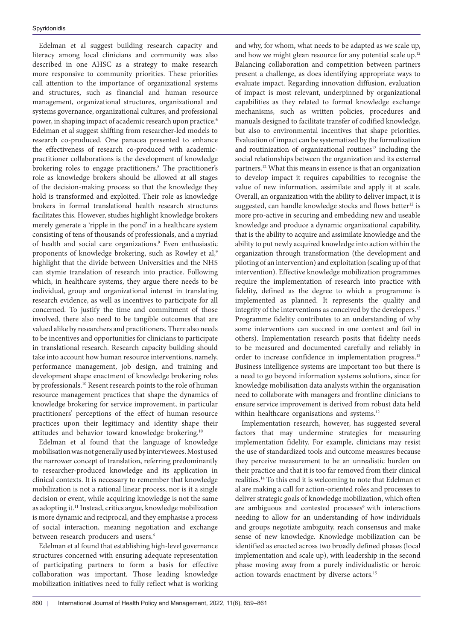Edelman et al suggest building research capacity and literacy among local clinicians and community was also described in one AHSC as a strategy to make research more responsive to community priorities. These priorities call attention to the importance of organizational systems and structures, such as financial and human resource management, organizational structures, organizational and systems governance, organizational cultures, and professional power, in shaping impact of academic research upon practice.<sup>6</sup> Edelman et al suggest shifting from researcher-led models to research co-produced. One panacea presented to enhance the effectiveness of research co-produced with academicpractitioner collaborations is the development of knowledge brokering roles to engage practitioners.<sup>8</sup> The practitioner's role as knowledge brokers should be allowed at all stages of the decision-making process so that the knowledge they hold is transformed and exploited. Their role as knowledge brokers in formal translational health research structures facilitates this. However, studies highlight knowledge brokers merely generate a 'ripple in the pond' in a healthcare system consisting of tens of thousands of professionals, and a myriad of health and social care organizations.<sup>9</sup> Even enthusiastic proponents of knowledge brokering, such as Rowley et al,<sup>9</sup> highlight that the divide between Universities and the NHS can stymie translation of research into practice. Following which, in healthcare systems, they argue there needs to be individual, group and organizational interest in translating research evidence, as well as incentives to participate for all concerned. To justify the time and commitment of those involved, there also need to be tangible outcomes that are valued alike by researchers and practitioners. There also needs to be incentives and opportunities for clinicians to participate in translational research. Research capacity building should take into account how human resource interventions, namely, performance management, job design, and training and development shape enactment of knowledge brokering roles by professionals.10 Resent research points to the role of human resource management practices that shape the dynamics of knowledge brokering for service improvement, in particular practitioners' perceptions of the effect of human resource practices upon their legitimacy and identity shape their attitudes and behavior toward knowledge brokering.10

Edelman et al found that the language of knowledge mobilisation was not generally used by interviewees. Most used the narrower concept of translation, referring predominantly to researcher-produced knowledge and its application in clinical contexts. It is necessary to remember that knowledge mobilization is not a rational linear process, nor is it a single decision or event, while acquiring knowledge is not the same as adopting it.11 Instead, critics argue, knowledge mobilization is more dynamic and reciprocal, and they emphasise a process of social interaction, meaning negotiation and exchange between research producers and users.<sup>6</sup>

Edelman et al found that establishing high-level governance structures concerned with ensuring adequate representation of participating partners to form a basis for effective collaboration was important. Those leading knowledge mobilization initiatives need to fully reflect what is working and why, for whom, what needs to be adapted as we scale up, and how we might glean resource for any potential scale up.<sup>12</sup> Balancing collaboration and competition between partners present a challenge, as does identifying appropriate ways to evaluate impact. Regarding innovation diffusion, evaluation of impact is most relevant, underpinned by organizational capabilities as they related to formal knowledge exchange mechanisms, such as written policies, procedures and manuals designed to facilitate transfer of codified knowledge, but also to environmental incentives that shape priorities. Evaluation of impact can be systematized by the formalization and routinization of organizational routines<sup>12</sup> including the social relationships between the organization and its external partners.12 What this means in essence is that an organization to develop impact it requires capabilities to recognise the value of new information, assimilate and apply it at scale. Overall, an organization with the ability to deliver impact, it is suggested, can handle knowledge stocks and flows better<sup>12</sup> is more pro-active in securing and embedding new and useable knowledge and produce a dynamic organizational capability, that is the ability to acquire and assimilate knowledge and the ability to put newly acquired knowledge into action within the organization through transformation (the development and piloting of an intervention) and exploitation (scaling up of that intervention). Effective knowledge mobilization programmes require the implementation of research into practice with fidelity, defined as the degree to which a programme is implemented as planned. It represents the quality and integrity of the interventions as conceived by the developers.<sup>13</sup> Programme fidelity contributes to an understanding of why some interventions can succeed in one context and fail in others). Implementation research posits that fidelity needs to be measured and documented carefully and reliably in order to increase confidence in implementation progress.<sup>13</sup> Business intelligence systems are important too but there is a need to go beyond information systems solutions, since for knowledge mobilisation data analysts within the organisation need to collaborate with managers and frontline clinicians to ensure service improvement is derived from robust data held within healthcare organisations and systems.<sup>12</sup>

Implementation research, however, has suggested several factors that may undermine strategies for measuring implementation fidelity. For example, clinicians may resist the use of standardized tools and outcome measures because they perceive measurement to be an unrealistic burden on their practice and that it is too far removed from their clinical realities.14 To this end it is welcoming to note that Edelman et al are making a call for action-oriented roles and processes to deliver strategic goals of knowledge mobilization, which often are ambiguous and contested processes<sup>6</sup> with interactions needing to allow for an understanding of how individuals and groups negotiate ambiguity, reach consensus and make sense of new knowledge. Knowledge mobilization can be identified as enacted across two broadly defined phases (local implementation and scale up), with leadership in the second phase moving away from a purely individualistic or heroic action towards enactment by diverse actors.15